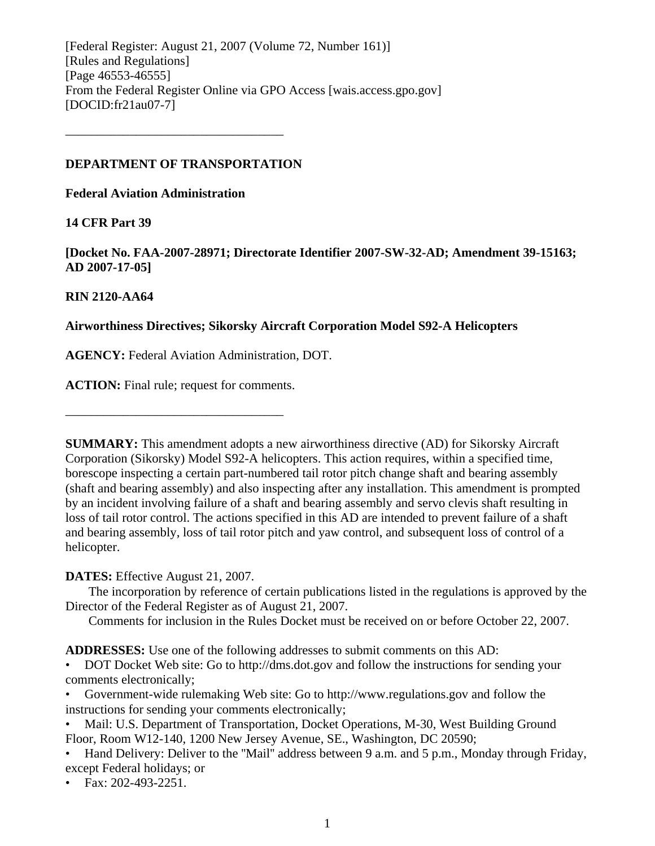[Federal Register: August 21, 2007 (Volume 72, Number 161)] [Rules and Regulations] [Page 46553-46555] From the Federal Register Online via GPO Access [wais.access.gpo.gov] [DOCID:fr21au07-7]

#### **DEPARTMENT OF TRANSPORTATION**

––––––––––––––––––––––––––––––––––

**Federal Aviation Administration** 

### **14 CFR Part 39**

**[Docket No. FAA-2007-28971; Directorate Identifier 2007-SW-32-AD; Amendment 39-15163; AD 2007-17-05]** 

## **RIN 2120-AA64**

## **Airworthiness Directives; Sikorsky Aircraft Corporation Model S92-A Helicopters**

**AGENCY:** Federal Aviation Administration, DOT.

**ACTION:** Final rule; request for comments.

––––––––––––––––––––––––––––––––––

**SUMMARY:** This amendment adopts a new airworthiness directive (AD) for Sikorsky Aircraft Corporation (Sikorsky) Model S92-A helicopters. This action requires, within a specified time, borescope inspecting a certain part-numbered tail rotor pitch change shaft and bearing assembly (shaft and bearing assembly) and also inspecting after any installation. This amendment is prompted by an incident involving failure of a shaft and bearing assembly and servo clevis shaft resulting in loss of tail rotor control. The actions specified in this AD are intended to prevent failure of a shaft and bearing assembly, loss of tail rotor pitch and yaw control, and subsequent loss of control of a helicopter.

# **DATES:** Effective August 21, 2007.

 The incorporation by reference of certain publications listed in the regulations is approved by the Director of the Federal Register as of August 21, 2007.

Comments for inclusion in the Rules Docket must be received on or before October 22, 2007.

**ADDRESSES:** Use one of the following addresses to submit comments on this AD:

• DOT Docket Web site: Go to http://dms.dot.gov and follow the instructions for sending your comments electronically;

• Government-wide rulemaking Web site: Go to http://www.regulations.gov and follow the instructions for sending your comments electronically;

• Mail: U.S. Department of Transportation, Docket Operations, M-30, West Building Ground Floor, Room W12-140, 1200 New Jersey Avenue, SE., Washington, DC 20590;

• Hand Delivery: Deliver to the "Mail" address between 9 a.m. and 5 p.m., Monday through Friday, except Federal holidays; or

• Fax: 202-493-2251.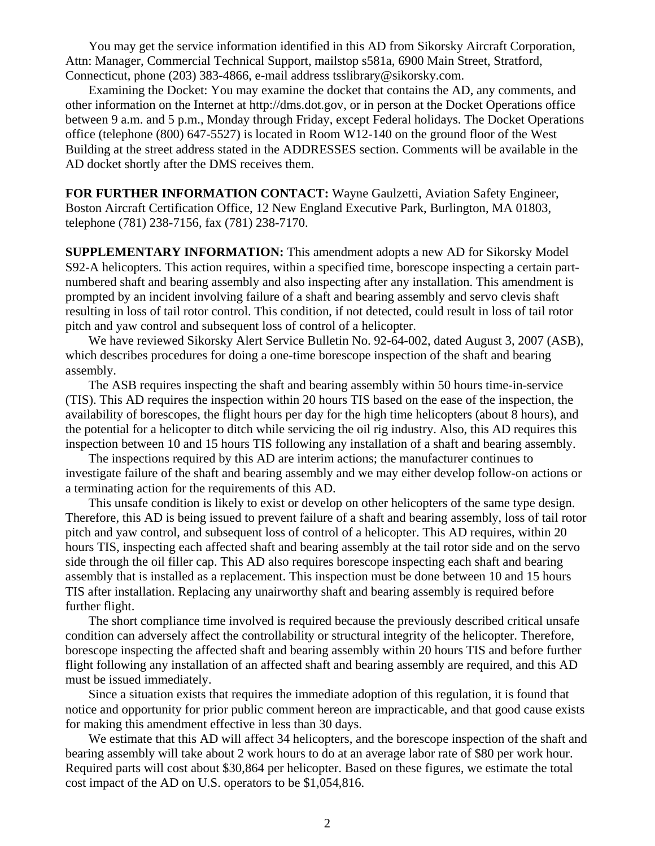You may get the service information identified in this AD from Sikorsky Aircraft Corporation, Attn: Manager, Commercial Technical Support, mailstop s581a, 6900 Main Street, Stratford, Connecticut, phone (203) 383-4866, e-mail address tsslibrary@sikorsky.com.

 Examining the Docket: You may examine the docket that contains the AD, any comments, and other information on the Internet at http://dms.dot.gov, or in person at the Docket Operations office between 9 a.m. and 5 p.m., Monday through Friday, except Federal holidays. The Docket Operations office (telephone (800) 647-5527) is located in Room W12-140 on the ground floor of the West Building at the street address stated in the ADDRESSES section. Comments will be available in the AD docket shortly after the DMS receives them.

**FOR FURTHER INFORMATION CONTACT:** Wayne Gaulzetti, Aviation Safety Engineer, Boston Aircraft Certification Office, 12 New England Executive Park, Burlington, MA 01803, telephone (781) 238-7156, fax (781) 238-7170.

**SUPPLEMENTARY INFORMATION:** This amendment adopts a new AD for Sikorsky Model S92-A helicopters. This action requires, within a specified time, borescope inspecting a certain partnumbered shaft and bearing assembly and also inspecting after any installation. This amendment is prompted by an incident involving failure of a shaft and bearing assembly and servo clevis shaft resulting in loss of tail rotor control. This condition, if not detected, could result in loss of tail rotor pitch and yaw control and subsequent loss of control of a helicopter.

 We have reviewed Sikorsky Alert Service Bulletin No. 92-64-002, dated August 3, 2007 (ASB), which describes procedures for doing a one-time borescope inspection of the shaft and bearing assembly.

 The ASB requires inspecting the shaft and bearing assembly within 50 hours time-in-service (TIS). This AD requires the inspection within 20 hours TIS based on the ease of the inspection, the availability of borescopes, the flight hours per day for the high time helicopters (about 8 hours), and the potential for a helicopter to ditch while servicing the oil rig industry. Also, this AD requires this inspection between 10 and 15 hours TIS following any installation of a shaft and bearing assembly.

 The inspections required by this AD are interim actions; the manufacturer continues to investigate failure of the shaft and bearing assembly and we may either develop follow-on actions or a terminating action for the requirements of this AD.

 This unsafe condition is likely to exist or develop on other helicopters of the same type design. Therefore, this AD is being issued to prevent failure of a shaft and bearing assembly, loss of tail rotor pitch and yaw control, and subsequent loss of control of a helicopter. This AD requires, within 20 hours TIS, inspecting each affected shaft and bearing assembly at the tail rotor side and on the servo side through the oil filler cap. This AD also requires borescope inspecting each shaft and bearing assembly that is installed as a replacement. This inspection must be done between 10 and 15 hours TIS after installation. Replacing any unairworthy shaft and bearing assembly is required before further flight.

 The short compliance time involved is required because the previously described critical unsafe condition can adversely affect the controllability or structural integrity of the helicopter. Therefore, borescope inspecting the affected shaft and bearing assembly within 20 hours TIS and before further flight following any installation of an affected shaft and bearing assembly are required, and this AD must be issued immediately.

 Since a situation exists that requires the immediate adoption of this regulation, it is found that notice and opportunity for prior public comment hereon are impracticable, and that good cause exists for making this amendment effective in less than 30 days.

 We estimate that this AD will affect 34 helicopters, and the borescope inspection of the shaft and bearing assembly will take about 2 work hours to do at an average labor rate of \$80 per work hour. Required parts will cost about \$30,864 per helicopter. Based on these figures, we estimate the total cost impact of the AD on U.S. operators to be \$1,054,816.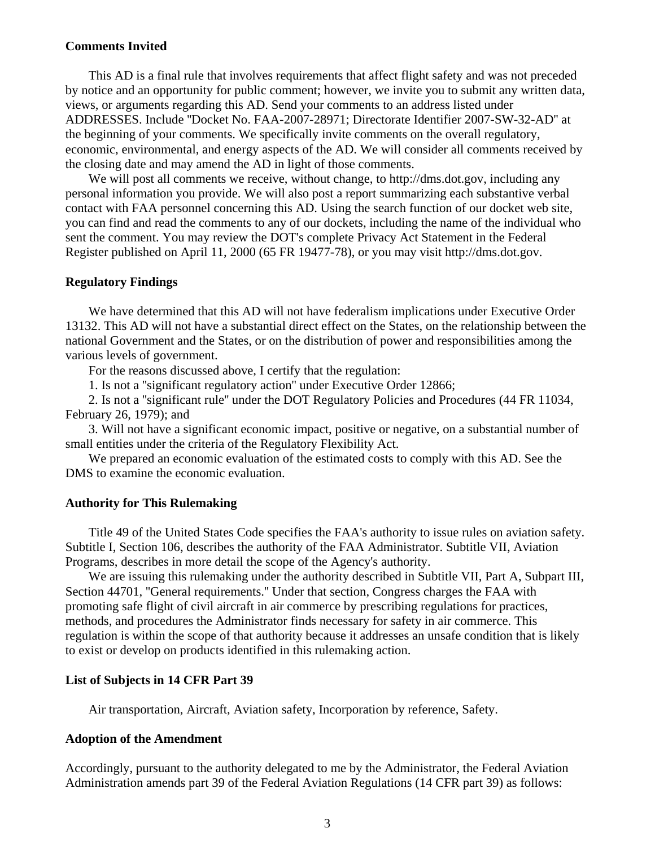#### **Comments Invited**

 This AD is a final rule that involves requirements that affect flight safety and was not preceded by notice and an opportunity for public comment; however, we invite you to submit any written data, views, or arguments regarding this AD. Send your comments to an address listed under ADDRESSES. Include ''Docket No. FAA-2007-28971; Directorate Identifier 2007-SW-32-AD'' at the beginning of your comments. We specifically invite comments on the overall regulatory, economic, environmental, and energy aspects of the AD. We will consider all comments received by the closing date and may amend the AD in light of those comments.

We will post all comments we receive, without change, to http://dms.dot.gov, including any personal information you provide. We will also post a report summarizing each substantive verbal contact with FAA personnel concerning this AD. Using the search function of our docket web site, you can find and read the comments to any of our dockets, including the name of the individual who sent the comment. You may review the DOT's complete Privacy Act Statement in the Federal Register published on April 11, 2000 (65 FR 19477-78), or you may visit http://dms.dot.gov.

#### **Regulatory Findings**

 We have determined that this AD will not have federalism implications under Executive Order 13132. This AD will not have a substantial direct effect on the States, on the relationship between the national Government and the States, or on the distribution of power and responsibilities among the various levels of government.

For the reasons discussed above, I certify that the regulation:

1. Is not a ''significant regulatory action'' under Executive Order 12866;

 2. Is not a ''significant rule'' under the DOT Regulatory Policies and Procedures (44 FR 11034, February 26, 1979); and

 3. Will not have a significant economic impact, positive or negative, on a substantial number of small entities under the criteria of the Regulatory Flexibility Act.

 We prepared an economic evaluation of the estimated costs to comply with this AD. See the DMS to examine the economic evaluation.

#### **Authority for This Rulemaking**

 Title 49 of the United States Code specifies the FAA's authority to issue rules on aviation safety. Subtitle I, Section 106, describes the authority of the FAA Administrator. Subtitle VII, Aviation Programs, describes in more detail the scope of the Agency's authority.

 We are issuing this rulemaking under the authority described in Subtitle VII, Part A, Subpart III, Section 44701, ''General requirements.'' Under that section, Congress charges the FAA with promoting safe flight of civil aircraft in air commerce by prescribing regulations for practices, methods, and procedures the Administrator finds necessary for safety in air commerce. This regulation is within the scope of that authority because it addresses an unsafe condition that is likely to exist or develop on products identified in this rulemaking action.

#### **List of Subjects in 14 CFR Part 39**

Air transportation, Aircraft, Aviation safety, Incorporation by reference, Safety.

#### **Adoption of the Amendment**

Accordingly, pursuant to the authority delegated to me by the Administrator, the Federal Aviation Administration amends part 39 of the Federal Aviation Regulations (14 CFR part 39) as follows: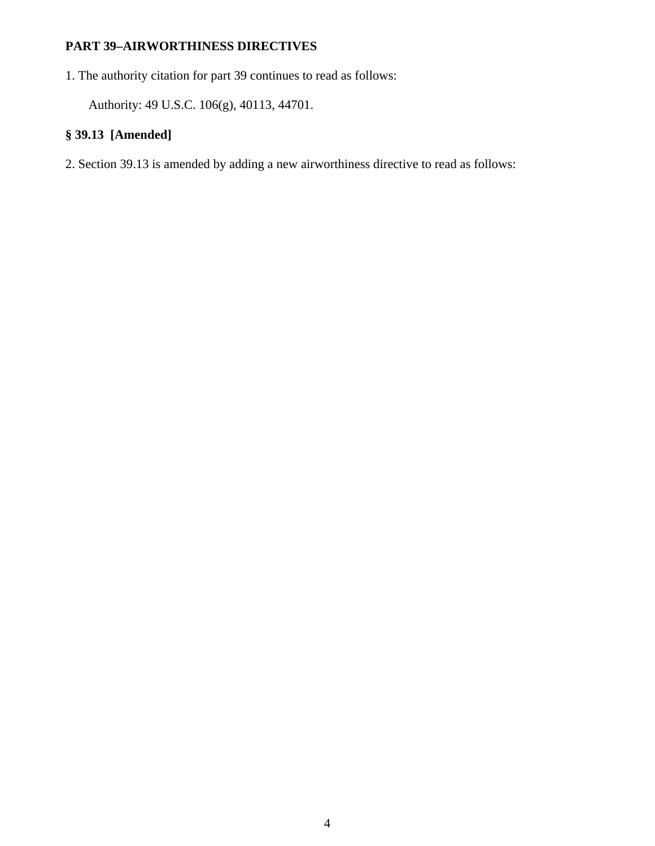# **PART 39–AIRWORTHINESS DIRECTIVES**

1. The authority citation for part 39 continues to read as follows:

Authority: 49 U.S.C. 106(g), 40113, 44701.

# **§ 39.13 [Amended]**

2. Section 39.13 is amended by adding a new airworthiness directive to read as follows: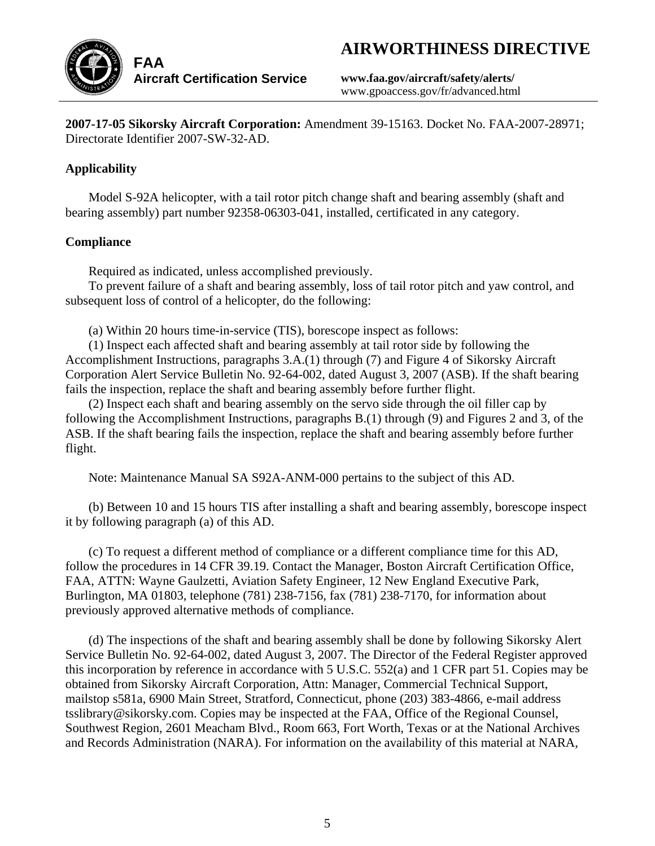# **AIRWORTHINESS DIRECTIVE**



**www.faa.gov/aircraft/safety/alerts/**  www.gpoaccess.gov/fr/advanced.html

**2007-17-05 Sikorsky Aircraft Corporation:** Amendment 39-15163. Docket No. FAA-2007-28971; Directorate Identifier 2007-SW-32-AD.

# **Applicability**

 Model S-92A helicopter, with a tail rotor pitch change shaft and bearing assembly (shaft and bearing assembly) part number 92358-06303-041, installed, certificated in any category.

# **Compliance**

Required as indicated, unless accomplished previously.

 To prevent failure of a shaft and bearing assembly, loss of tail rotor pitch and yaw control, and subsequent loss of control of a helicopter, do the following:

(a) Within 20 hours time-in-service (TIS), borescope inspect as follows:

 (1) Inspect each affected shaft and bearing assembly at tail rotor side by following the Accomplishment Instructions, paragraphs 3.A.(1) through (7) and Figure 4 of Sikorsky Aircraft Corporation Alert Service Bulletin No. 92-64-002, dated August 3, 2007 (ASB). If the shaft bearing fails the inspection, replace the shaft and bearing assembly before further flight.

 (2) Inspect each shaft and bearing assembly on the servo side through the oil filler cap by following the Accomplishment Instructions, paragraphs B.(1) through (9) and Figures 2 and 3, of the ASB. If the shaft bearing fails the inspection, replace the shaft and bearing assembly before further flight.

Note: Maintenance Manual SA S92A-ANM-000 pertains to the subject of this AD.

 (b) Between 10 and 15 hours TIS after installing a shaft and bearing assembly, borescope inspect it by following paragraph (a) of this AD.

 (c) To request a different method of compliance or a different compliance time for this AD, follow the procedures in 14 CFR 39.19. Contact the Manager, Boston Aircraft Certification Office, FAA, ATTN: Wayne Gaulzetti, Aviation Safety Engineer, 12 New England Executive Park, Burlington, MA 01803, telephone (781) 238-7156, fax (781) 238-7170, for information about previously approved alternative methods of compliance.

 (d) The inspections of the shaft and bearing assembly shall be done by following Sikorsky Alert Service Bulletin No. 92-64-002, dated August 3, 2007. The Director of the Federal Register approved this incorporation by reference in accordance with 5 U.S.C. 552(a) and 1 CFR part 51. Copies may be obtained from Sikorsky Aircraft Corporation, Attn: Manager, Commercial Technical Support, mailstop s581a, 6900 Main Street, Stratford, Connecticut, phone (203) 383-4866, e-mail address tsslibrary@sikorsky.com. Copies may be inspected at the FAA, Office of the Regional Counsel, Southwest Region, 2601 Meacham Blvd., Room 663, Fort Worth, Texas or at the National Archives and Records Administration (NARA). For information on the availability of this material at NARA,